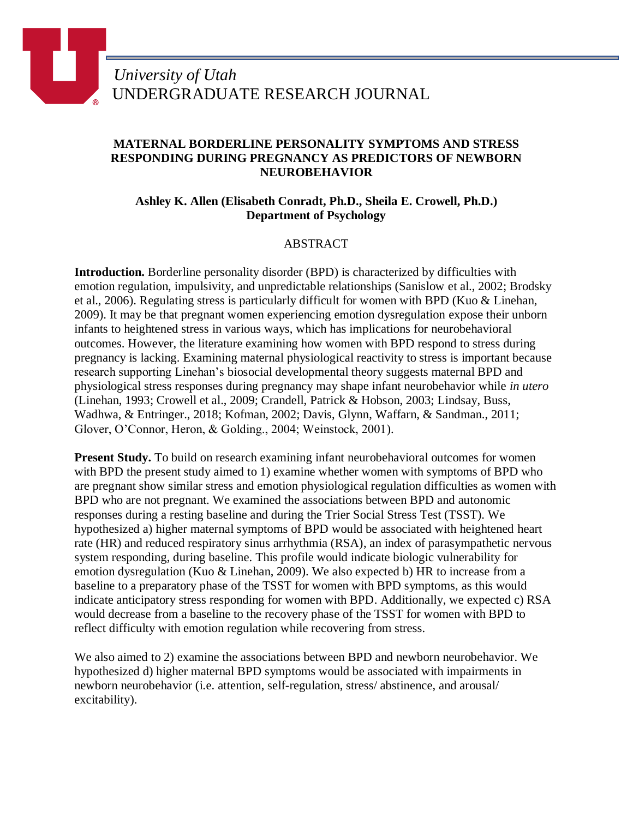## **MATERNAL BORDERLINE PERSONALITY SYMPTOMS AND STRESS RESPONDING DURING PREGNANCY AS PREDICTORS OF NEWBORN NEUROBEHAVIOR**

## **Ashley K. Allen (Elisabeth Conradt, Ph.D., Sheila E. Crowell, Ph.D.) Department of Psychology**

## ABSTRACT

**Introduction.** Borderline personality disorder (BPD) is characterized by difficulties with emotion regulation, impulsivity, and unpredictable relationships (Sanislow et al., 2002; Brodsky et al., 2006). Regulating stress is particularly difficult for women with BPD (Kuo & Linehan, 2009). It may be that pregnant women experiencing emotion dysregulation expose their unborn infants to heightened stress in various ways, which has implications for neurobehavioral outcomes. However, the literature examining how women with BPD respond to stress during pregnancy is lacking. Examining maternal physiological reactivity to stress is important because research supporting Linehan's biosocial developmental theory suggests maternal BPD and physiological stress responses during pregnancy may shape infant neurobehavior while *in utero* (Linehan, 1993; Crowell et al., 2009; Crandell, Patrick & Hobson, 2003; Lindsay, Buss, Wadhwa, & Entringer., 2018; Kofman, 2002; Davis, Glynn, Waffarn, & Sandman., 2011; Glover, O'Connor, Heron, & Golding., 2004; Weinstock, 2001).

**Present Study.** To build on research examining infant neurobehavioral outcomes for women with BPD the present study aimed to 1) examine whether women with symptoms of BPD who are pregnant show similar stress and emotion physiological regulation difficulties as women with BPD who are not pregnant. We examined the associations between BPD and autonomic responses during a resting baseline and during the Trier Social Stress Test (TSST). We hypothesized a) higher maternal symptoms of BPD would be associated with heightened heart rate (HR) and reduced respiratory sinus arrhythmia (RSA), an index of parasympathetic nervous system responding, during baseline. This profile would indicate biologic vulnerability for emotion dysregulation (Kuo & Linehan, 2009). We also expected b) HR to increase from a baseline to a preparatory phase of the TSST for women with BPD symptoms, as this would indicate anticipatory stress responding for women with BPD. Additionally, we expected c) RSA would decrease from a baseline to the recovery phase of the TSST for women with BPD to reflect difficulty with emotion regulation while recovering from stress.

We also aimed to 2) examine the associations between BPD and newborn neurobehavior. We hypothesized d) higher maternal BPD symptoms would be associated with impairments in newborn neurobehavior (i.e. attention, self-regulation, stress/ abstinence, and arousal/ excitability).